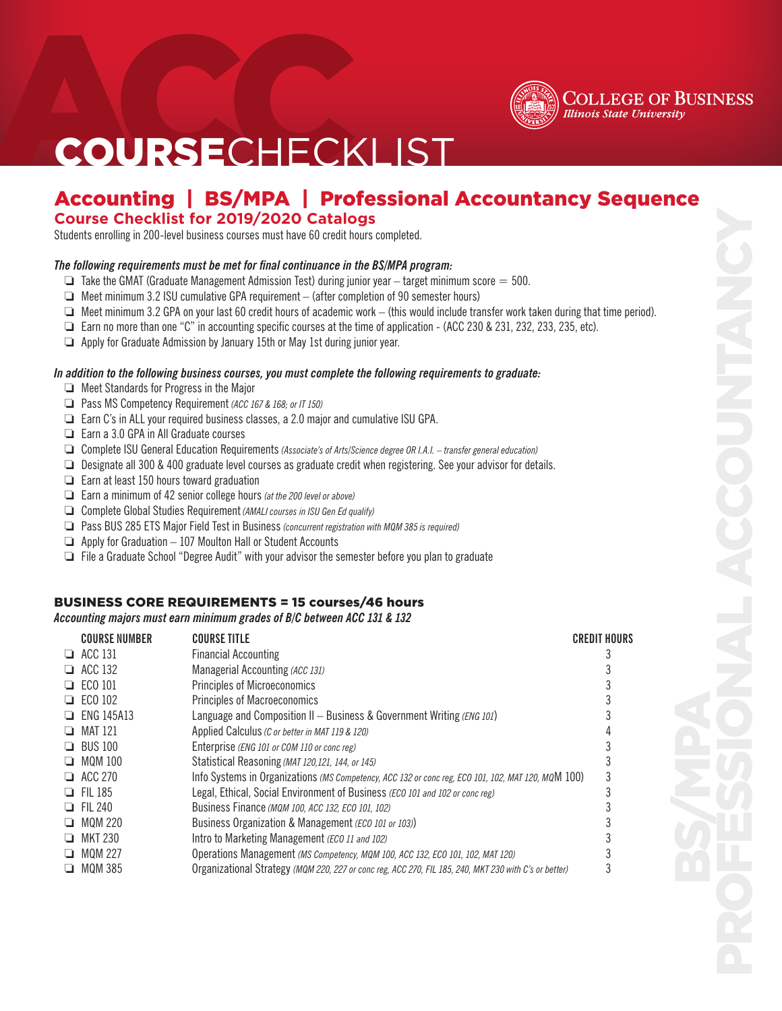

## **COURSECHECKLIST**

### Accounting | BS/MPA | Professional Accountancy Sequence **Course Checklist for 2019/2020 Catalogs**

Students enrolling in 200-level business courses must have 60 credit hours completed.

### *The following requirements must be met for final continuance in the BS/MPA program:*

- $\Box$  Take the GMAT (Graduate Management Admission Test) during junior year target minimum score = 500.
- $\Box$  Meet minimum 3.2 ISU cumulative GPA requirement (after completion of 90 semester hours)
- $\Box$  Meet minimum 3.2 GPA on your last 60 credit hours of academic work (this would include transfer work taken during that time period).
- $\Box$  Earn no more than one "C" in accounting specific courses at the time of application (ACC 230 & 231, 232, 233, 235, etc).
- $\Box$  Apply for Graduate Admission by January 15th or May 1st during junior year.

### *In addition to the following business courses, you must complete the following requirements to graduate:*

- $\Box$  Meet Standards for Progress in the Major
- **D** Pass MS Competency Requirement *(ACC 167 & 168; or IT 150)*
- $\Box$  Earn C's in ALL your required business classes, a 2.0 major and cumulative ISU GPA.
- $\Box$  Earn a 3.0 GPA in All Graduate courses
- □ Complete ISU General Education Requirements *(Associate's of Arts/Science degree OR I.A.I. transfer general education)*
- $\Box$  Designate all 300 & 400 graduate level courses as graduate credit when registering. See your advisor for details.
- $\Box$  Earn at least 150 hours toward graduation
- **Earn a minimum of 42 senior college hours** *(at the 200 level or above)*
- **Complete Global Studies Requirement** (AMALI courses in ISU Gen Ed qualify)
- **D** Pass BUS 285 ETS Major Field Test in Business *(concurrent registration with MQM 385 is required)*
- $\Box$  Apply for Graduation  $-107$  Moulton Hall or Student Accounts
- $\Box$  File a Graduate School "Degree Audit" with your advisor the semester before you plan to graduate

### BUSINESS CORE REQUIREMENTS = 15 courses/46 hours

*Accounting majors must earn minimum grades of B/C between ACC 131 & 132*

| $\Box$ ACC 131<br><b>Financial Accounting</b>                                                                                |  |
|------------------------------------------------------------------------------------------------------------------------------|--|
|                                                                                                                              |  |
| $\Box$ ACC 132<br>Managerial Accounting (ACC 131)                                                                            |  |
| <b>Principles of Microeconomics</b><br>$\Box$ ECO 101                                                                        |  |
| $\Box$ ECO 102<br><b>Principles of Macroeconomics</b>                                                                        |  |
| Language and Composition II - Business & Government Writing (ENG 101)<br>$\Box$ ENG 145A13                                   |  |
| $\Box$ MAT 121<br>Applied Calculus (C or better in MAT 119 & 120)                                                            |  |
| $\Box$ BUS 100<br>Enterprise (ENG 101 or COM 110 or conc reg)                                                                |  |
| $\Box$ MQM 100<br>Statistical Reasoning (MAT 120,121, 144, or 145)                                                           |  |
| $\Box$ ACC 270<br>Info Systems in Organizations (MS Competency, ACC 132 or conc reg, ECO 101, 102, MAT 120, MQM 100)         |  |
| $\Box$ FII 185<br>Legal, Ethical, Social Environment of Business (ECO 101 and 102 or conc reg)                               |  |
| <b>EL 240</b><br>Business Finance (MQM 100, ACC 132, ECO 101, 102)                                                           |  |
| $\Box$ MOM 220<br>Business Organization & Management (ECO 101 or 103))                                                       |  |
| Intro to Marketing Management (ECO 11 and 102)<br>$\Box$ MKT 230                                                             |  |
| MOM 227<br>Operations Management (MS Competency, MQM 100, ACC 132, ECO 101, 102, MAT 120)<br>⊔                               |  |
| Organizational Strategy (MQM 220, 227 or conc reg, ACC 270, FIL 185, 240, MKT 230 with C's or better)<br><b>MQM 385</b><br>ப |  |